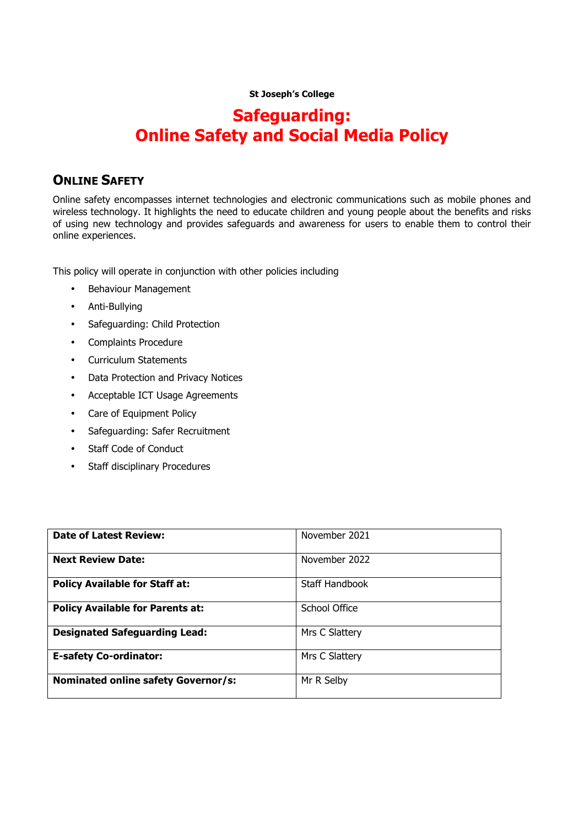#### **St Joseph's College**

## **Safeguarding: Online Safety and Social Media Policy**

## **ONLINE SAFFTY**

Online safety encompasses internet technologies and electronic communications such as mobile phones and wireless technology. It highlights the need to educate children and young people about the benefits and risks of using new technology and provides safeguards and awareness for users to enable them to control their online experiences.

This policy will operate in conjunction with other policies including

- Behaviour Management
- Anti-Bullying
- Safeguarding: Child Protection
- Complaints Procedure
- Curriculum Statements
- Data Protection and Privacy Notices
- Acceptable ICT Usage Agreements
- Care of Equipment Policy
- Safeguarding: Safer Recruitment
- Staff Code of Conduct
- Staff disciplinary Procedures

| <b>Date of Latest Review:</b>              | November 2021  |
|--------------------------------------------|----------------|
| <b>Next Review Date:</b>                   | November 2022  |
| <b>Policy Available for Staff at:</b>      | Staff Handbook |
| <b>Policy Available for Parents at:</b>    | School Office  |
| <b>Designated Safeguarding Lead:</b>       | Mrs C Slattery |
| <b>E-safety Co-ordinator:</b>              | Mrs C Slattery |
| <b>Nominated online safety Governor/s:</b> | Mr R Selby     |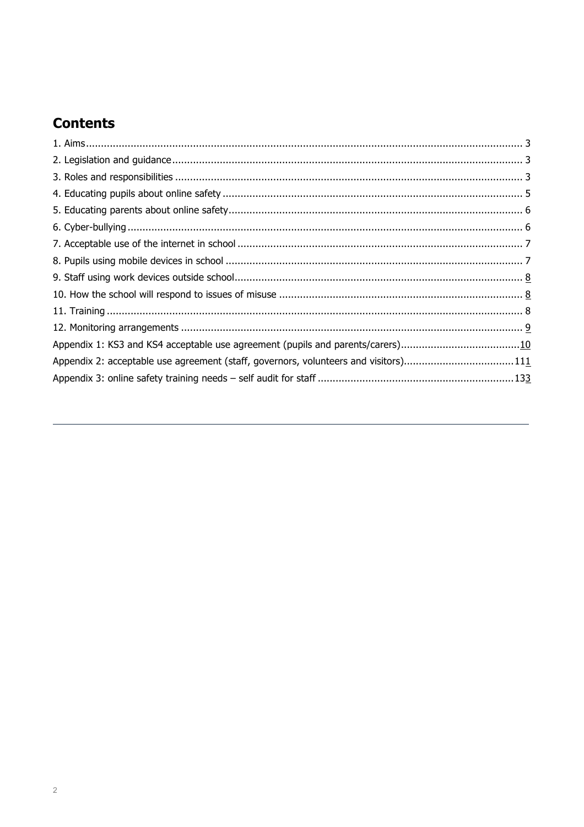## **Contents**

| Appendix 2: acceptable use agreement (staff, governors, volunteers and visitors)111 |  |
|-------------------------------------------------------------------------------------|--|
|                                                                                     |  |
|                                                                                     |  |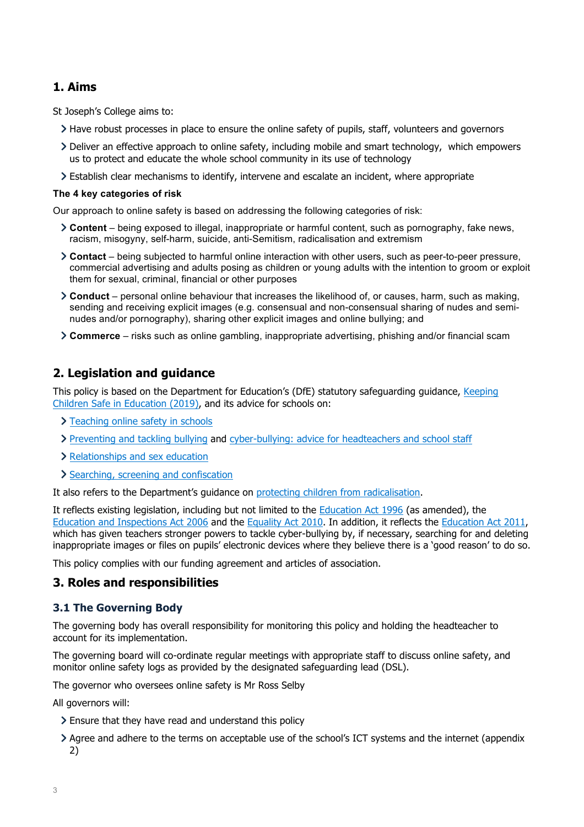## **1. Aims**

St Joseph's College aims to:

- Have robust processes in place to ensure the online safety of pupils, staff, volunteers and governors
- Deliver an effective approach to online safety, including mobile and smart technology, which empowers us to protect and educate the whole school community in its use of technology
- Establish clear mechanisms to identify, intervene and escalate an incident, where appropriate

#### **The 4 key categories of risk**

Our approach to online safety is based on addressing the following categories of risk:

- **Content** being exposed to illegal, inappropriate or harmful content, such as pornography, fake news, racism, misogyny, self-harm, suicide, anti-Semitism, radicalisation and extremism
- **Contact** being subjected to harmful online interaction with other users, such as peer-to-peer pressure, commercial advertising and adults posing as children or young adults with the intention to groom or exploit them for sexual, criminal, financial or other purposes
- **Conduct** personal online behaviour that increases the likelihood of, or causes, harm, such as making, sending and receiving explicit images (e.g. consensual and non-consensual sharing of nudes and seminudes and/or pornography), sharing other explicit images and online bullying; and
- **Commerce** risks such as online gambling, inappropriate advertising, phishing and/or financial scam

## **2. Legislation and guidance**

This policy is based on the Department for Education's (DfE) statutory safeguarding guidance, Keeping Children Safe in Education (2019), and its advice for schools on:

- > Teaching online safety in schools
- Preventing and tackling bullying and cyber-bullying: advice for headteachers and school staff
- > Relationships and sex education
- > Searching, screening and confiscation

It also refers to the Department's guidance on protecting children from radicalisation.

It reflects existing legislation, including but not limited to the Education Act 1996 (as amended), the Education and Inspections Act 2006 and the Equality Act 2010. In addition, it reflects the Education Act 2011, which has given teachers stronger powers to tackle cyber-bullying by, if necessary, searching for and deleting inappropriate images or files on pupils' electronic devices where they believe there is a 'good reason' to do so.

This policy complies with our funding agreement and articles of association.

## **3. Roles and responsibilities**

## **3.1 The Governing Body**

The governing body has overall responsibility for monitoring this policy and holding the headteacher to account for its implementation.

The governing board will co-ordinate regular meetings with appropriate staff to discuss online safety, and monitor online safety logs as provided by the designated safeguarding lead (DSL).

The governor who oversees online safety is Mr Ross Selby

All governors will:

- Ensure that they have read and understand this policy
- Agree and adhere to the terms on acceptable use of the school's ICT systems and the internet (appendix 2)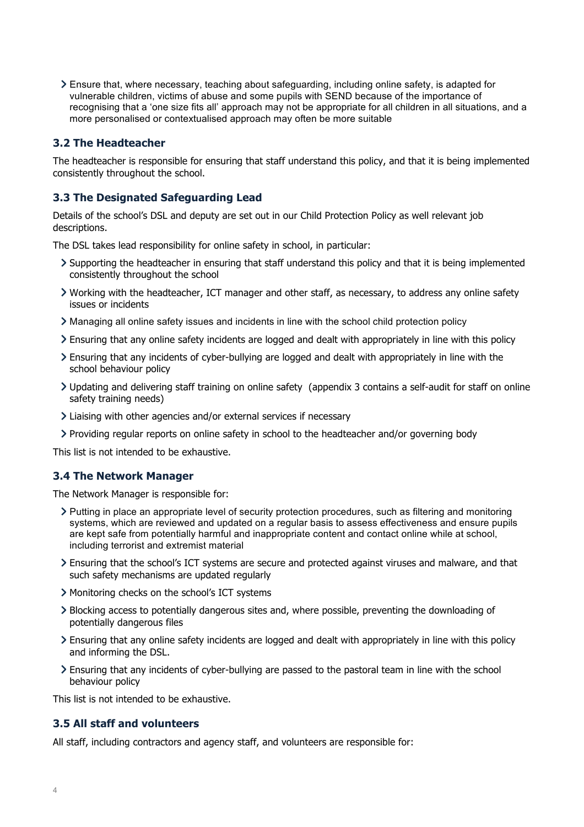Ensure that, where necessary, teaching about safeguarding, including online safety, is adapted for vulnerable children, victims of abuse and some pupils with SEND because of the importance of recognising that a 'one size fits all' approach may not be appropriate for all children in all situations, and a more personalised or contextualised approach may often be more suitable

### **3.2 The Headteacher**

The headteacher is responsible for ensuring that staff understand this policy, and that it is being implemented consistently throughout the school.

## **3.3 The Designated Safeguarding Lead**

Details of the school's DSL and deputy are set out in our Child Protection Policy as well relevant job descriptions.

The DSL takes lead responsibility for online safety in school, in particular:

- Supporting the headteacher in ensuring that staff understand this policy and that it is being implemented consistently throughout the school
- Working with the headteacher, ICT manager and other staff, as necessary, to address any online safety issues or incidents
- Managing all online safety issues and incidents in line with the school child protection policy
- Ensuring that any online safety incidents are logged and dealt with appropriately in line with this policy
- Ensuring that any incidents of cyber-bullying are logged and dealt with appropriately in line with the school behaviour policy
- Updating and delivering staff training on online safety (appendix 3 contains a self-audit for staff on online safety training needs)
- Liaising with other agencies and/or external services if necessary
- Providing regular reports on online safety in school to the headteacher and/or governing body

This list is not intended to be exhaustive.

## **3.4 The Network Manager**

The Network Manager is responsible for:

- Putting in place an appropriate level of security protection procedures, such as filtering and monitoring systems, which are reviewed and updated on a regular basis to assess effectiveness and ensure pupils are kept safe from potentially harmful and inappropriate content and contact online while at school, including terrorist and extremist material
- Ensuring that the school's ICT systems are secure and protected against viruses and malware, and that such safety mechanisms are updated regularly
- Monitoring checks on the school's ICT systems
- Blocking access to potentially dangerous sites and, where possible, preventing the downloading of potentially dangerous files
- Ensuring that any online safety incidents are logged and dealt with appropriately in line with this policy and informing the DSL.
- Ensuring that any incidents of cyber-bullying are passed to the pastoral team in line with the school behaviour policy

This list is not intended to be exhaustive.

#### **3.5 All staff and volunteers**

All staff, including contractors and agency staff, and volunteers are responsible for: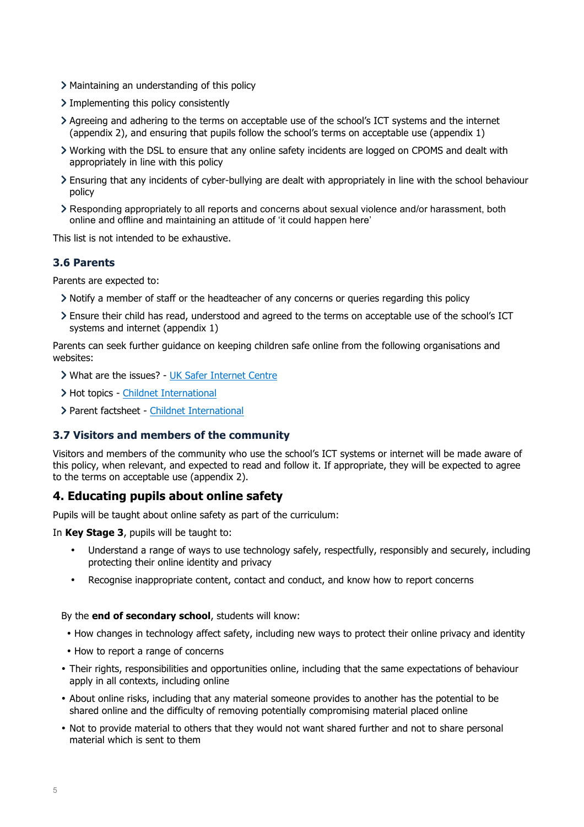- Maintaining an understanding of this policy
- $\sum$  Implementing this policy consistently
- Agreeing and adhering to the terms on acceptable use of the school's ICT systems and the internet (appendix 2), and ensuring that pupils follow the school's terms on acceptable use (appendix 1)
- Working with the DSL to ensure that any online safety incidents are logged on CPOMS and dealt with appropriately in line with this policy
- Ensuring that any incidents of cyber-bullying are dealt with appropriately in line with the school behaviour policy
- Responding appropriately to all reports and concerns about sexual violence and/or harassment, both online and offline and maintaining an attitude of 'it could happen here'

This list is not intended to be exhaustive.

### **3.6 Parents**

Parents are expected to:

- Notify a member of staff or the headteacher of any concerns or queries regarding this policy
- Ensure their child has read, understood and agreed to the terms on acceptable use of the school's ICT systems and internet (appendix 1)

Parents can seek further guidance on keeping children safe online from the following organisations and websites:

- What are the issues? UK Safer Internet Centre
- > Hot topics Childnet International
- Parent factsheet Childnet International

#### **3.7 Visitors and members of the community**

Visitors and members of the community who use the school's ICT systems or internet will be made aware of this policy, when relevant, and expected to read and follow it. If appropriate, they will be expected to agree to the terms on acceptable use (appendix 2).

## **4. Educating pupils about online safety**

Pupils will be taught about online safety as part of the curriculum:

In **Key Stage 3**, pupils will be taught to:

- Understand a range of ways to use technology safely, respectfully, responsibly and securely, including protecting their online identity and privacy
- Recognise inappropriate content, contact and conduct, and know how to report concerns

#### By the **end of secondary school**, students will know:

- How changes in technology affect safety, including new ways to protect their online privacy and identity
- How to report a range of concerns
- Their rights, responsibilities and opportunities online, including that the same expectations of behaviour apply in all contexts, including online
- About online risks, including that any material someone provides to another has the potential to be shared online and the difficulty of removing potentially compromising material placed online
- Not to provide material to others that they would not want shared further and not to share personal material which is sent to them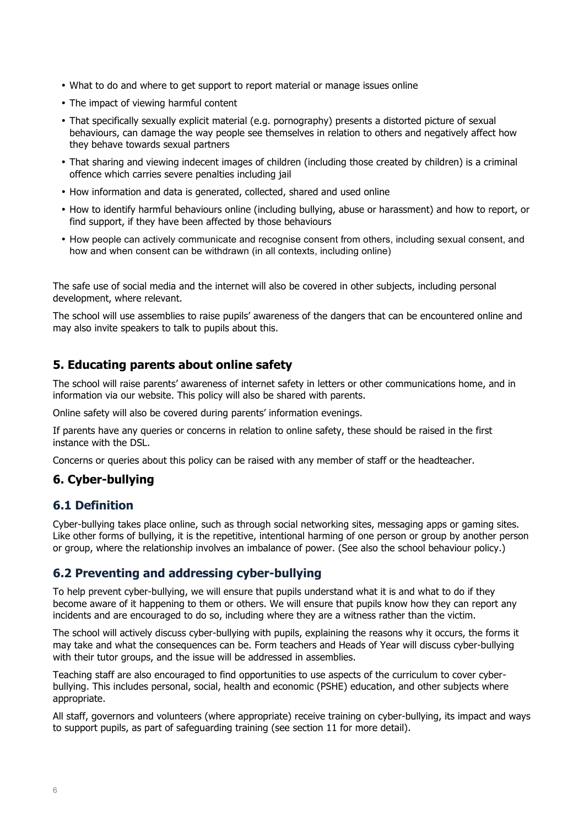- What to do and where to get support to report material or manage issues online
- The impact of viewing harmful content
- That specifically sexually explicit material (e.g. pornography) presents a distorted picture of sexual behaviours, can damage the way people see themselves in relation to others and negatively affect how they behave towards sexual partners
- That sharing and viewing indecent images of children (including those created by children) is a criminal offence which carries severe penalties including jail
- How information and data is generated, collected, shared and used online
- How to identify harmful behaviours online (including bullying, abuse or harassment) and how to report, or find support, if they have been affected by those behaviours
- How people can actively communicate and recognise consent from others, including sexual consent, and how and when consent can be withdrawn (in all contexts, including online)

The safe use of social media and the internet will also be covered in other subjects, including personal development, where relevant.

The school will use assemblies to raise pupils' awareness of the dangers that can be encountered online and may also invite speakers to talk to pupils about this.

## **5. Educating parents about online safety**

The school will raise parents' awareness of internet safety in letters or other communications home, and in information via our website. This policy will also be shared with parents.

Online safety will also be covered during parents' information evenings.

If parents have any queries or concerns in relation to online safety, these should be raised in the first instance with the DSL.

Concerns or queries about this policy can be raised with any member of staff or the headteacher.

## **6. Cyber-bullying**

## **6.1 Definition**

Cyber-bullying takes place online, such as through social networking sites, messaging apps or gaming sites. Like other forms of bullying, it is the repetitive, intentional harming of one person or group by another person or group, where the relationship involves an imbalance of power. (See also the school behaviour policy.)

## **6.2 Preventing and addressing cyber-bullying**

To help prevent cyber-bullying, we will ensure that pupils understand what it is and what to do if they become aware of it happening to them or others. We will ensure that pupils know how they can report any incidents and are encouraged to do so, including where they are a witness rather than the victim.

The school will actively discuss cyber-bullying with pupils, explaining the reasons why it occurs, the forms it may take and what the consequences can be. Form teachers and Heads of Year will discuss cyber-bullying with their tutor groups, and the issue will be addressed in assemblies.

Teaching staff are also encouraged to find opportunities to use aspects of the curriculum to cover cyberbullying. This includes personal, social, health and economic (PSHE) education, and other subjects where appropriate.

All staff, governors and volunteers (where appropriate) receive training on cyber-bullying, its impact and ways to support pupils, as part of safeguarding training (see section 11 for more detail).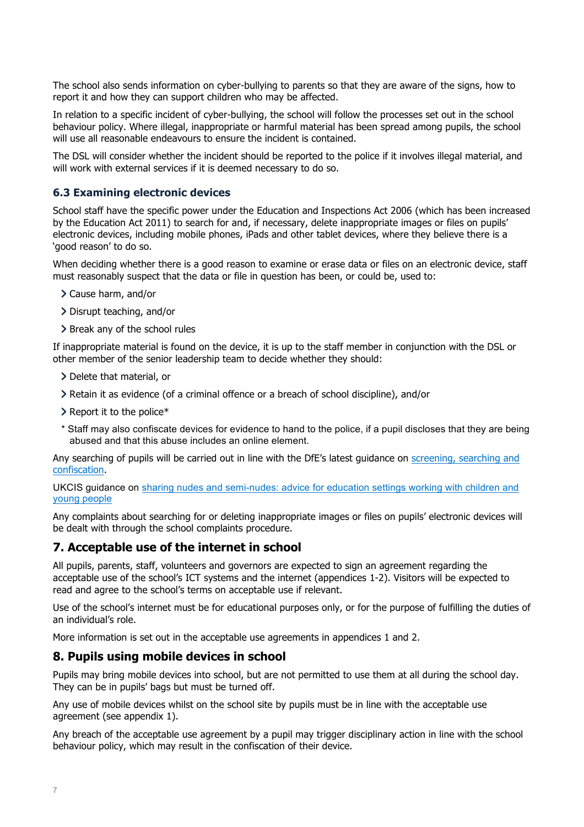The school also sends information on cyber-bullying to parents so that they are aware of the signs, how to report it and how they can support children who may be affected.

In relation to a specific incident of cyber-bullying, the school will follow the processes set out in the school behaviour policy. Where illegal, inappropriate or harmful material has been spread among pupils, the school will use all reasonable endeavours to ensure the incident is contained.

The DSL will consider whether the incident should be reported to the police if it involves illegal material, and will work with external services if it is deemed necessary to do so.

### **6.3 Examining electronic devices**

School staff have the specific power under the Education and Inspections Act 2006 (which has been increased by the Education Act 2011) to search for and, if necessary, delete inappropriate images or files on pupils' electronic devices, including mobile phones, iPads and other tablet devices, where they believe there is a 'good reason' to do so.

When deciding whether there is a good reason to examine or erase data or files on an electronic device, staff must reasonably suspect that the data or file in question has been, or could be, used to:

- Cause harm, and/or
- Disrupt teaching, and/or
- > Break any of the school rules

If inappropriate material is found on the device, it is up to the staff member in conjunction with the DSL or other member of the senior leadership team to decide whether they should:

- > Delete that material, or
- Retain it as evidence (of a criminal offence or a breach of school discipline), and/or
- $\geq$  Report it to the police\*
- \* Staff may also confiscate devices for evidence to hand to the police, if a pupil discloses that they are being abused and that this abuse includes an online element.

Any searching of pupils will be carried out in line with the DfE's latest guidance on screening, searching and confiscation.

UKCIS guidance on sharing nudes and semi-nudes: advice for education settings working with children and young people

Any complaints about searching for or deleting inappropriate images or files on pupils' electronic devices will be dealt with through the school complaints procedure.

## **7. Acceptable use of the internet in school**

All pupils, parents, staff, volunteers and governors are expected to sign an agreement regarding the acceptable use of the school's ICT systems and the internet (appendices 1-2). Visitors will be expected to read and agree to the school's terms on acceptable use if relevant.

Use of the school's internet must be for educational purposes only, or for the purpose of fulfilling the duties of an individual's role.

More information is set out in the acceptable use agreements in appendices 1 and 2.

## **8. Pupils using mobile devices in school**

Pupils may bring mobile devices into school, but are not permitted to use them at all during the school day. They can be in pupils' bags but must be turned off.

Any use of mobile devices whilst on the school site by pupils must be in line with the acceptable use agreement (see appendix 1).

Any breach of the acceptable use agreement by a pupil may trigger disciplinary action in line with the school behaviour policy, which may result in the confiscation of their device.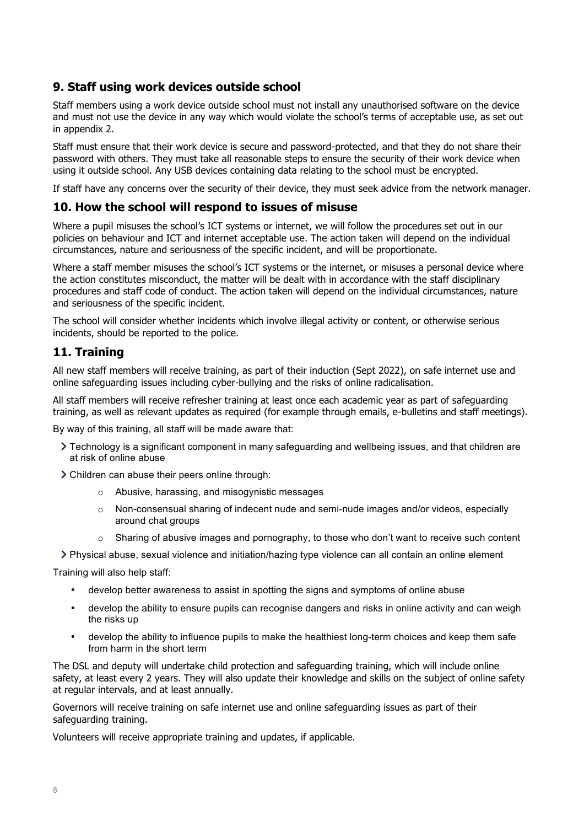## **9. Staff using work devices outside school**

Staff members using a work device outside school must not install any unauthorised software on the device and must not use the device in any way which would violate the school's terms of acceptable use, as set out in appendix 2.

Staff must ensure that their work device is secure and password-protected, and that they do not share their password with others. They must take all reasonable steps to ensure the security of their work device when using it outside school. Any USB devices containing data relating to the school must be encrypted.

If staff have any concerns over the security of their device, they must seek advice from the network manager.

## **10. How the school will respond to issues of misuse**

Where a pupil misuses the school's ICT systems or internet, we will follow the procedures set out in our policies on behaviour and ICT and internet acceptable use. The action taken will depend on the individual circumstances, nature and seriousness of the specific incident, and will be proportionate.

Where a staff member misuses the school's ICT systems or the internet, or misuses a personal device where the action constitutes misconduct, the matter will be dealt with in accordance with the staff disciplinary procedures and staff code of conduct. The action taken will depend on the individual circumstances, nature and seriousness of the specific incident.

The school will consider whether incidents which involve illegal activity or content, or otherwise serious incidents, should be reported to the police.

## **11. Training**

All new staff members will receive training, as part of their induction (Sept 2022), on safe internet use and online safeguarding issues including cyber-bullying and the risks of online radicalisation.

All staff members will receive refresher training at least once each academic year as part of safeguarding training, as well as relevant updates as required (for example through emails, e-bulletins and staff meetings).

By way of this training, all staff will be made aware that:

- Technology is a significant component in many safeguarding and wellbeing issues, and that children are at risk of online abuse
- Children can abuse their peers online through:
	- o Abusive, harassing, and misogynistic messages
	- o Non-consensual sharing of indecent nude and semi-nude images and/or videos, especially around chat groups
	- $\circ$  Sharing of abusive images and pornography, to those who don't want to receive such content
- Physical abuse, sexual violence and initiation/hazing type violence can all contain an online element

Training will also help staff:

- develop better awareness to assist in spotting the signs and symptoms of online abuse
- develop the ability to ensure pupils can recognise dangers and risks in online activity and can weigh the risks up
- develop the ability to influence pupils to make the healthiest long-term choices and keep them safe from harm in the short term

The DSL and deputy will undertake child protection and safeguarding training, which will include online safety, at least every 2 years. They will also update their knowledge and skills on the subject of online safety at regular intervals, and at least annually.

Governors will receive training on safe internet use and online safeguarding issues as part of their safeguarding training.

Volunteers will receive appropriate training and updates, if applicable.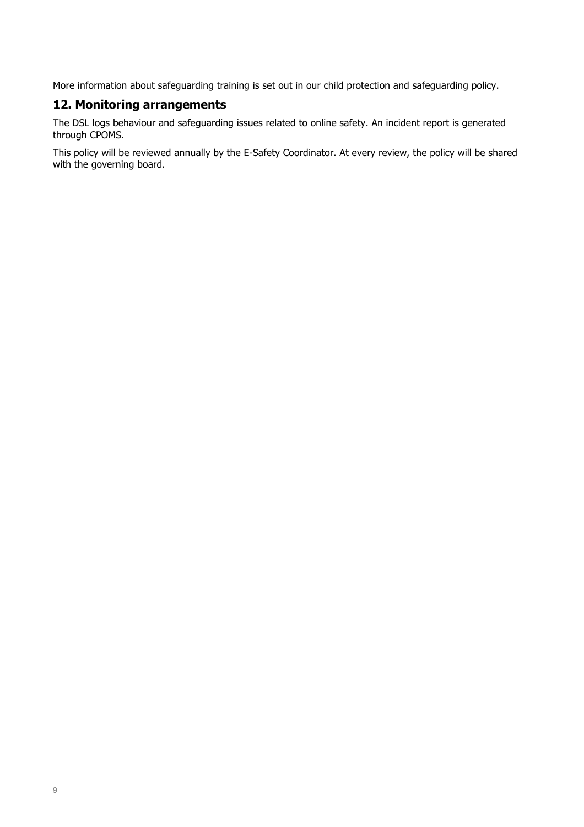More information about safeguarding training is set out in our child protection and safeguarding policy.

## **12. Monitoring arrangements**

The DSL logs behaviour and safeguarding issues related to online safety. An incident report is generated through CPOMS.

This policy will be reviewed annually by the E-Safety Coordinator. At every review, the policy will be shared with the governing board.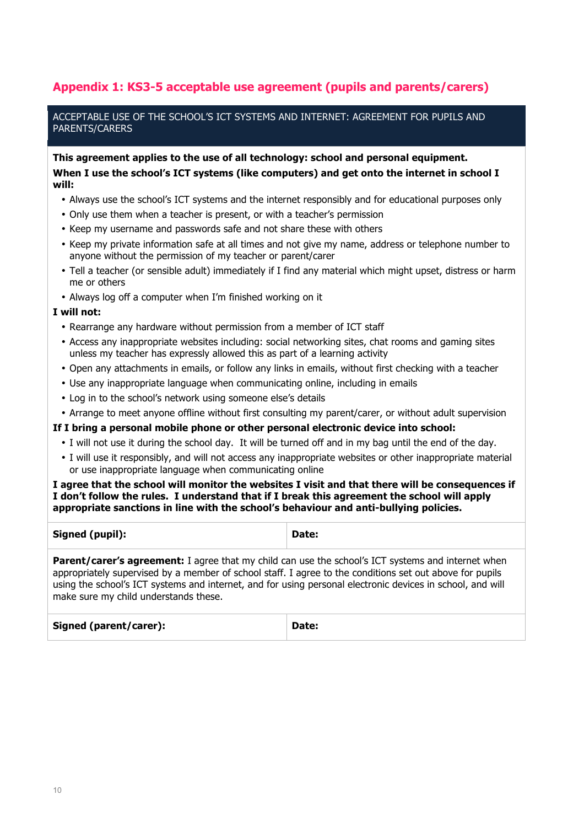## **Appendix 1: KS3-5 acceptable use agreement (pupils and parents/carers)**

ACCEPTABLE USE OF THE SCHOOL'S ICT SYSTEMS AND INTERNET: AGREEMENT FOR PUPILS AND PARENTS/CARERS

**This agreement applies to the use of all technology: school and personal equipment. When I use the school's ICT systems (like computers) and get onto the internet in school I will:**

- Always use the school's ICT systems and the internet responsibly and for educational purposes only
- Only use them when a teacher is present, or with a teacher's permission
- Keep my username and passwords safe and not share these with others
- Keep my private information safe at all times and not give my name, address or telephone number to anyone without the permission of my teacher or parent/carer
- Tell a teacher (or sensible adult) immediately if I find any material which might upset, distress or harm me or others
- Always log off a computer when I'm finished working on it

#### **I will not:**

- Rearrange any hardware without permission from a member of ICT staff
- Access any inappropriate websites including: social networking sites, chat rooms and gaming sites unless my teacher has expressly allowed this as part of a learning activity
- Open any attachments in emails, or follow any links in emails, without first checking with a teacher
- Use any inappropriate language when communicating online, including in emails
- Log in to the school's network using someone else's details
- Arrange to meet anyone offline without first consulting my parent/carer, or without adult supervision

#### **If I bring a personal mobile phone or other personal electronic device into school:**

- I will not use it during the school day. It will be turned off and in my bag until the end of the day.
- I will use it responsibly, and will not access any inappropriate websites or other inappropriate material or use inappropriate language when communicating online

#### **I agree that the school will monitor the websites I visit and that there will be consequences if I don't follow the rules. I understand that if I break this agreement the school will apply appropriate sanctions in line with the school's behaviour and anti-bullying policies.**

| Signed (pupil):                                                                                                                                                                                                                                                                                                                                                              | Date: |  |
|------------------------------------------------------------------------------------------------------------------------------------------------------------------------------------------------------------------------------------------------------------------------------------------------------------------------------------------------------------------------------|-------|--|
| <b>Parent/carer's agreement:</b> I agree that my child can use the school's ICT systems and internet when<br>appropriately supervised by a member of school staff. I agree to the conditions set out above for pupils<br>using the school's ICT systems and internet, and for using personal electronic devices in school, and will<br>make sure my child understands these. |       |  |
| Signed (parent/carer):                                                                                                                                                                                                                                                                                                                                                       | Date: |  |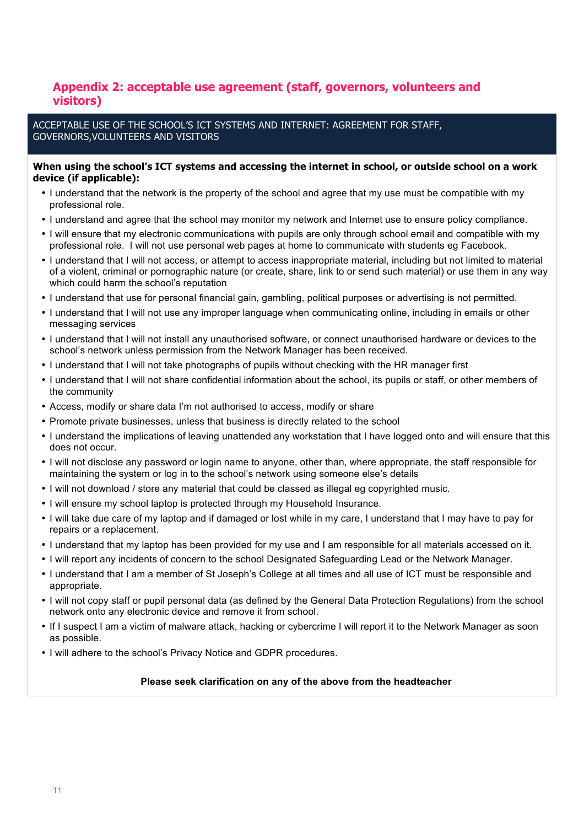## **Appendix 2: acceptable use agreement (staff, governors, volunteers and visitors)**

ACCEPTABLE USE OF THE SCHOOL'S ICT SYSTEMS AND INTERNET: AGREEMENT FOR STAFF, GOVERNORS,VOLUNTEERS AND VISITORS

#### **When using the school's ICT systems and accessing the internet in school, or outside school on a work device (if applicable):**

- I understand that the network is the property of the school and agree that my use must be compatible with my professional role.
- I understand and agree that the school may monitor my network and Internet use to ensure policy compliance.
- I will ensure that my electronic communications with pupils are only through school email and compatible with my professional role. I will not use personal web pages at home to communicate with students eg Facebook.
- I understand that I will not access, or attempt to access inappropriate material, including but not limited to material of a violent, criminal or pornographic nature (or create, share, link to or send such material) or use them in any way which could harm the school's reputation
- I understand that use for personal financial gain, gambling, political purposes or advertising is not permitted.
- I understand that I will not use any improper language when communicating online, including in emails or other messaging services
- I understand that I will not install any unauthorised software, or connect unauthorised hardware or devices to the school's network unless permission from the Network Manager has been received.
- I understand that I will not take photographs of pupils without checking with the HR manager first
- I understand that I will not share confidential information about the school, its pupils or staff, or other members of the community
- Access, modify or share data I'm not authorised to access, modify or share
- Promote private businesses, unless that business is directly related to the school
- I understand the implications of leaving unattended any workstation that I have logged onto and will ensure that this does not occur.
- I will not disclose any password or login name to anyone, other than, where appropriate, the staff responsible for maintaining the system or log in to the school's network using someone else's details
- I will not download / store any material that could be classed as illegal eg copyrighted music.
- I will ensure my school laptop is protected through my Household Insurance.
- I will take due care of my laptop and if damaged or lost while in my care, I understand that I may have to pay for repairs or a replacement.
- I understand that my laptop has been provided for my use and I am responsible for all materials accessed on it.
- I will report any incidents of concern to the school Designated Safeguarding Lead or the Network Manager.
- I understand that I am a member of St Joseph's College at all times and all use of ICT must be responsible and appropriate.
- I will not copy staff or pupil personal data (as defined by the General Data Protection Regulations) from the school network onto any electronic device and remove it from school.
- If I suspect I am a victim of malware attack, hacking or cybercrime I will report it to the Network Manager as soon as possible.
- I will adhere to the school's Privacy Notice and GDPR procedures.

#### **Please seek clarification on any of the above from the headteacher**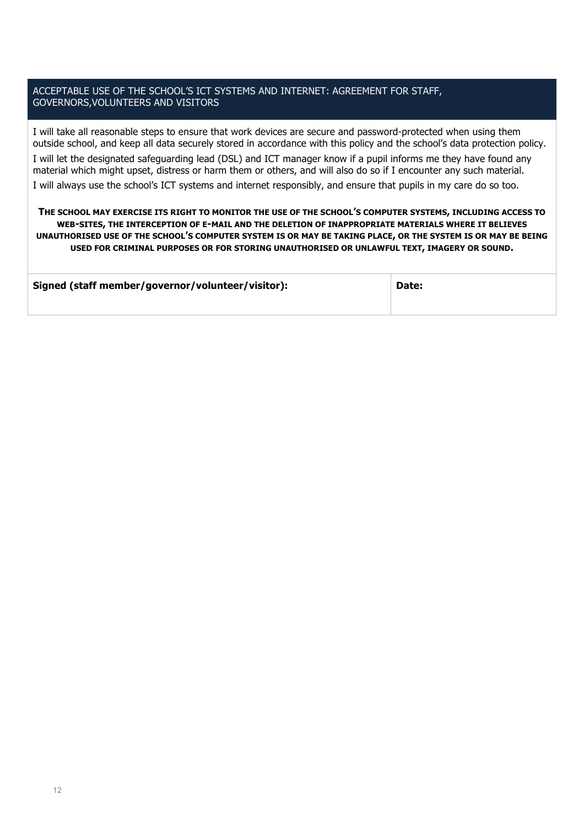### ACCEPTABLE USE OF THE SCHOOL'S ICT SYSTEMS AND INTERNET: AGREEMENT FOR STAFF, GOVERNORS,VOLUNTEERS AND VISITORS

I will take all reasonable steps to ensure that work devices are secure and password-protected when using them outside school, and keep all data securely stored in accordance with this policy and the school's data protection policy. I will let the designated safeguarding lead (DSL) and ICT manager know if a pupil informs me they have found any material which might upset, distress or harm them or others, and will also do so if I encounter any such material. I will always use the school's ICT systems and internet responsibly, and ensure that pupils in my care do so too.

**THE SCHOOL MAY EXERCISE ITS RIGHT TO MONITOR THE USE OF THE SCHOOL'S COMPUTER SYSTEMS, INCLUDING ACCESS TO WEB-SITES, THE INTERCEPTION OF E-MAIL AND THE DELETION OF INAPPROPRIATE MATERIALS WHERE IT BELIEVES UNAUTHORISED USE OF THE SCHOOL'S COMPUTER SYSTEM IS OR MAY BE TAKING PLACE, OR THE SYSTEM IS OR MAY BE BEING USED FOR CRIMINAL PURPOSES OR FOR STORING UNAUTHORISED OR UNLAWFUL TEXT, IMAGERY OR SOUND.**

| Signed (staff member/governor/volunteer/visitor): | Date: |
|---------------------------------------------------|-------|
|                                                   |       |